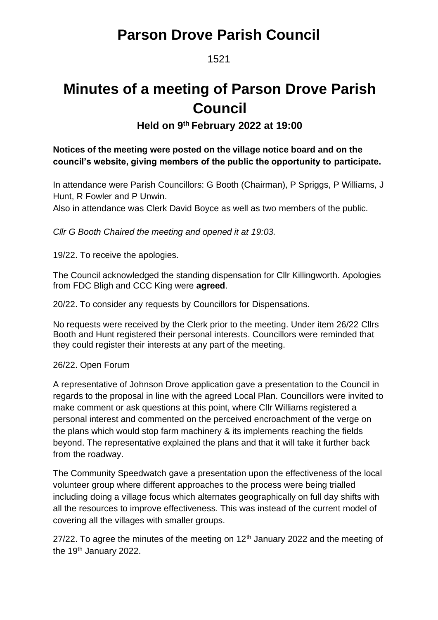### 1521

# **Minutes of a meeting of Parson Drove Parish Council**

### **Held on 9 th February 2022 at 19:00**

#### **Notices of the meeting were posted on the village notice board and on the council's website, giving members of the public the opportunity to participate.**

In attendance were Parish Councillors: G Booth (Chairman), P Spriggs, P Williams, J Hunt, R Fowler and P Unwin.

Also in attendance was Clerk David Boyce as well as two members of the public.

*Cllr G Booth Chaired the meeting and opened it at 19:03.*

19/22. To receive the apologies.

The Council acknowledged the standing dispensation for Cllr Killingworth. Apologies from FDC Bligh and CCC King were **agreed**.

20/22. To consider any requests by Councillors for Dispensations.

No requests were received by the Clerk prior to the meeting. Under item 26/22 Cllrs Booth and Hunt registered their personal interests. Councillors were reminded that they could register their interests at any part of the meeting.

#### 26/22. Open Forum

A representative of Johnson Drove application gave a presentation to the Council in regards to the proposal in line with the agreed Local Plan. Councillors were invited to make comment or ask questions at this point, where Cllr Williams registered a personal interest and commented on the perceived encroachment of the verge on the plans which would stop farm machinery & its implements reaching the fields beyond. The representative explained the plans and that it will take it further back from the roadway.

The Community Speedwatch gave a presentation upon the effectiveness of the local volunteer group where different approaches to the process were being trialled including doing a village focus which alternates geographically on full day shifts with all the resources to improve effectiveness. This was instead of the current model of covering all the villages with smaller groups.

27/22. To agree the minutes of the meeting on  $12<sup>th</sup>$  January 2022 and the meeting of the 19<sup>th</sup> January 2022.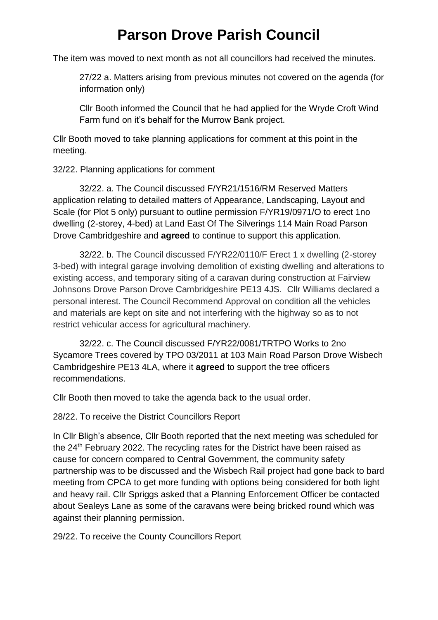The item was moved to next month as not all councillors had received the minutes.

27/22 a. Matters arising from previous minutes not covered on the agenda (for information only)

Cllr Booth informed the Council that he had applied for the Wryde Croft Wind Farm fund on it's behalf for the Murrow Bank project.

Cllr Booth moved to take planning applications for comment at this point in the meeting.

32/22. Planning applications for comment

32/22. a. The Council discussed F/YR21/1516/RM Reserved Matters application relating to detailed matters of Appearance, Landscaping, Layout and Scale (for Plot 5 only) pursuant to outline permission F/YR19/0971/O to erect 1no dwelling (2-storey, 4-bed) at Land East Of The Silverings 114 Main Road Parson Drove Cambridgeshire and **agreed** to continue to support this application.

32/22. b. The Council discussed F/YR22/0110/F Erect 1 x dwelling (2-storey 3-bed) with integral garage involving demolition of existing dwelling and alterations to existing access, and temporary siting of a caravan during construction at Fairview Johnsons Drove Parson Drove Cambridgeshire PE13 4JS. Cllr Williams declared a personal interest. The Council Recommend Approval on condition all the vehicles and materials are kept on site and not interfering with the highway so as to not restrict vehicular access for agricultural machinery.

32/22. c. The Council discussed F/YR22/0081/TRTPO Works to 2no Sycamore Trees covered by TPO 03/2011 at 103 Main Road Parson Drove Wisbech Cambridgeshire PE13 4LA, where it **agreed** to support the tree officers recommendations.

Cllr Booth then moved to take the agenda back to the usual order.

28/22. To receive the District Councillors Report

In Cllr Bligh's absence, Cllr Booth reported that the next meeting was scheduled for the 24<sup>th</sup> February 2022. The recycling rates for the District have been raised as cause for concern compared to Central Government, the community safety partnership was to be discussed and the Wisbech Rail project had gone back to bard meeting from CPCA to get more funding with options being considered for both light and heavy rail. Cllr Spriggs asked that a Planning Enforcement Officer be contacted about Sealeys Lane as some of the caravans were being bricked round which was against their planning permission.

29/22. To receive the County Councillors Report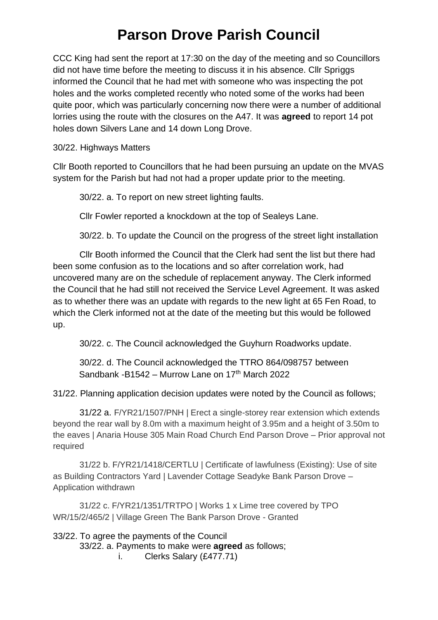CCC King had sent the report at 17:30 on the day of the meeting and so Councillors did not have time before the meeting to discuss it in his absence. Cllr Spriggs informed the Council that he had met with someone who was inspecting the pot holes and the works completed recently who noted some of the works had been quite poor, which was particularly concerning now there were a number of additional lorries using the route with the closures on the A47. It was **agreed** to report 14 pot holes down Silvers Lane and 14 down Long Drove.

30/22. Highways Matters

Cllr Booth reported to Councillors that he had been pursuing an update on the MVAS system for the Parish but had not had a proper update prior to the meeting.

30/22. a. To report on new street lighting faults.

Cllr Fowler reported a knockdown at the top of Sealeys Lane.

30/22. b. To update the Council on the progress of the street light installation

Cllr Booth informed the Council that the Clerk had sent the list but there had been some confusion as to the locations and so after correlation work, had uncovered many are on the schedule of replacement anyway. The Clerk informed the Council that he had still not received the Service Level Agreement. It was asked as to whether there was an update with regards to the new light at 65 Fen Road, to which the Clerk informed not at the date of the meeting but this would be followed up.

30/22. c. The Council acknowledged the Guyhurn Roadworks update.

30/22. d. The Council acknowledged the TTRO 864/098757 between Sandbank -B1542 – Murrow Lane on  $17<sup>th</sup>$  March 2022

31/22. Planning application decision updates were noted by the Council as follows;

31/22 a. F/YR21/1507/PNH | Erect a single-storey rear extension which extends beyond the rear wall by 8.0m with a maximum height of 3.95m and a height of 3.50m to the eaves | Anaria House 305 Main Road Church End Parson Drove – Prior approval not required

31/22 b. F/YR21/1418/CERTLU | Certificate of lawfulness (Existing): Use of site as Building Contractors Yard | Lavender Cottage Seadyke Bank Parson Drove – Application withdrawn

31/22 c. F/YR21/1351/TRTPO | Works 1 x Lime tree covered by TPO WR/15/2/465/2 | Village Green The Bank Parson Drove - Granted

33/22. To agree the payments of the Council 33/22. a. Payments to make were **agreed** as follows; i. Clerks Salary (£477.71)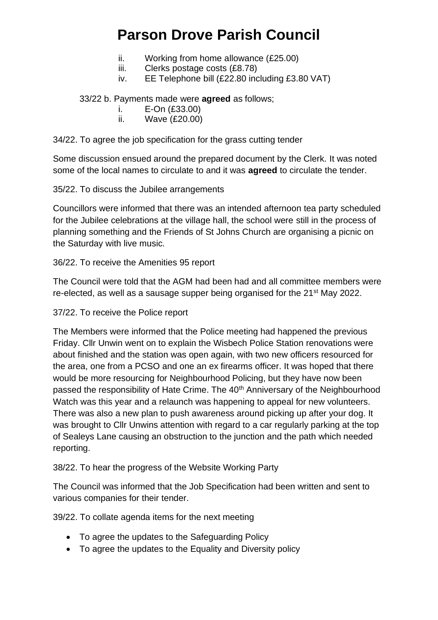- ii. Working from home allowance (£25.00)
- iii. Clerks postage costs (£8.78)
- iv. EE Telephone bill (£22.80 including £3.80 VAT)

33/22 b. Payments made were **agreed** as follows;

i. E-On (£33.00)

ii. Wave (£20.00)

34/22. To agree the job specification for the grass cutting tender

Some discussion ensued around the prepared document by the Clerk. It was noted some of the local names to circulate to and it was **agreed** to circulate the tender.

35/22. To discuss the Jubilee arrangements

Councillors were informed that there was an intended afternoon tea party scheduled for the Jubilee celebrations at the village hall, the school were still in the process of planning something and the Friends of St Johns Church are organising a picnic on the Saturday with live music.

36/22. To receive the Amenities 95 report

The Council were told that the AGM had been had and all committee members were re-elected, as well as a sausage supper being organised for the 21<sup>st</sup> May 2022.

37/22. To receive the Police report

The Members were informed that the Police meeting had happened the previous Friday. Cllr Unwin went on to explain the Wisbech Police Station renovations were about finished and the station was open again, with two new officers resourced for the area, one from a PCSO and one an ex firearms officer. It was hoped that there would be more resourcing for Neighbourhood Policing, but they have now been passed the responsibility of Hate Crime. The 40<sup>th</sup> Anniversary of the Neighbourhood Watch was this year and a relaunch was happening to appeal for new volunteers. There was also a new plan to push awareness around picking up after your dog. It was brought to Cllr Unwins attention with regard to a car regularly parking at the top of Sealeys Lane causing an obstruction to the junction and the path which needed reporting.

38/22. To hear the progress of the Website Working Party

The Council was informed that the Job Specification had been written and sent to various companies for their tender.

39/22. To collate agenda items for the next meeting

- To agree the updates to the Safeguarding Policy
- To agree the updates to the Equality and Diversity policy